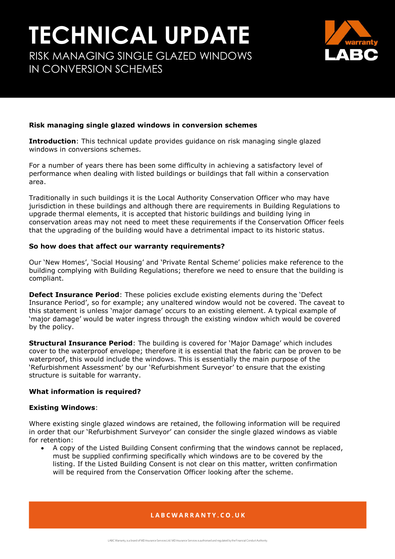# **TECHNICAL UPDATE**

RISK MANAGING SINGLE GLAZED WINDOWS IN CONVERSION SCHEMES



## **Risk managing single glazed windows in conversion schemes**

**Introduction**: This technical update provides guidance on risk managing single glazed windows in conversions schemes.

For a number of years there has been some difficulty in achieving a satisfactory level of performance when dealing with listed buildings or buildings that fall within a conservation area.

Traditionally in such buildings it is the Local Authority Conservation Officer who may have jurisdiction in these buildings and although there are requirements in Building Regulations to upgrade thermal elements, it is accepted that historic buildings and building lying in conservation areas may not need to meet these requirements if the Conservation Officer feels that the upgrading of the building would have a detrimental impact to its historic status.

#### **So how does that affect our warranty requirements?**

Our 'New Homes', 'Social Housing' and 'Private Rental Scheme' policies make reference to the building complying with Building Regulations; therefore we need to ensure that the building is compliant.

**Defect Insurance Period**: These policies exclude existing elements during the 'Defect Insurance Period', so for example; any unaltered window would not be covered. The caveat to this statement is unless 'major damage' occurs to an existing element. A typical example of 'major damage' would be water ingress through the existing window which would be covered by the policy.

**Structural Insurance Period**: The building is covered for 'Major Damage' which includes cover to the waterproof envelope; therefore it is essential that the fabric can be proven to be waterproof, this would include the windows. This is essentially the main purpose of the 'Refurbishment Assessment' by our 'Refurbishment Surveyor' to ensure that the existing structure is suitable for warranty.

## **What information is required?**

#### **Existing Windows**:

Where existing single glazed windows are retained, the following information will be required in order that our 'Refurbishment Surveyor' can consider the single glazed windows as viable for retention:

 A copy of the Listed Building Consent confirming that the windows cannot be replaced, must be supplied confirming specifically which windows are to be covered by the listing. If the Listed Building Consent is not clear on this matter, written confirmation will be required from the Conservation Officer looking after the scheme.

LABCWARRANTY.CO.UK